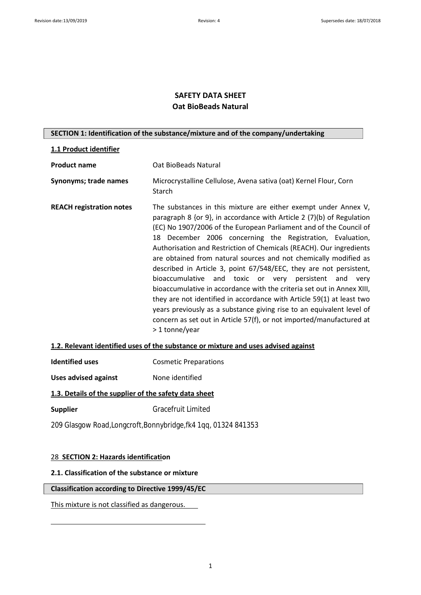# **SAFETY DATA SHEET Oat BioBeads Natural**

## **SECTION 1: Identification of the substance/mixture and of the company/undertaking**

## **1.1 Product identifier**

| <b>Product name</b>             | Oat BioBeads Natural                                                                                                                                                                                                                                                                                                                                                                                                                                                                                                                                                                                                                                                                                                                                                                                                                                                        |
|---------------------------------|-----------------------------------------------------------------------------------------------------------------------------------------------------------------------------------------------------------------------------------------------------------------------------------------------------------------------------------------------------------------------------------------------------------------------------------------------------------------------------------------------------------------------------------------------------------------------------------------------------------------------------------------------------------------------------------------------------------------------------------------------------------------------------------------------------------------------------------------------------------------------------|
| Synonyms; trade names           | Microcrystalline Cellulose, Avena sativa (oat) Kernel Flour, Corn<br>Starch                                                                                                                                                                                                                                                                                                                                                                                                                                                                                                                                                                                                                                                                                                                                                                                                 |
| <b>REACH registration notes</b> | The substances in this mixture are either exempt under Annex V,<br>paragraph 8 {or 9}, in accordance with Article 2 (7)(b) of Regulation<br>(EC) No 1907/2006 of the European Parliament and of the Council of<br>18 December 2006 concerning the Registration, Evaluation,<br>Authorisation and Restriction of Chemicals (REACH). Our ingredients<br>are obtained from natural sources and not chemically modified as<br>described in Article 3, point 67/548/EEC, they are not persistent,<br>bioaccumulative and toxic or very persistent and very<br>bioaccumulative in accordance with the criteria set out in Annex XIII,<br>they are not identified in accordance with Article 59(1) at least two<br>years previously as a substance giving rise to an equivalent level of<br>concern as set out in Article 57(f), or not imported/manufactured at<br>> 1 tonne/year |

# **1.2. Relevant identified uses of the substance or mixture and uses advised against**

| <b>Identified uses</b> | <b>Cosmetic Preparations</b> |
|------------------------|------------------------------|
|------------------------|------------------------------|

**Uses advised against** None identified

## **1.3. Details of the supplier of the safety data sheet**

**Supplier** Gracefruit Limited

209 Glasgow Road,Longcroft,Bonnybridge,fk4 1qq, 01324 841353

## 28 **SECTION 2: Hazards identification**

### **2.1. Classification of the substance or mixture**

## **Classification according to Directive 1999/45/EC**

This mixture is not classified as dangerous.

1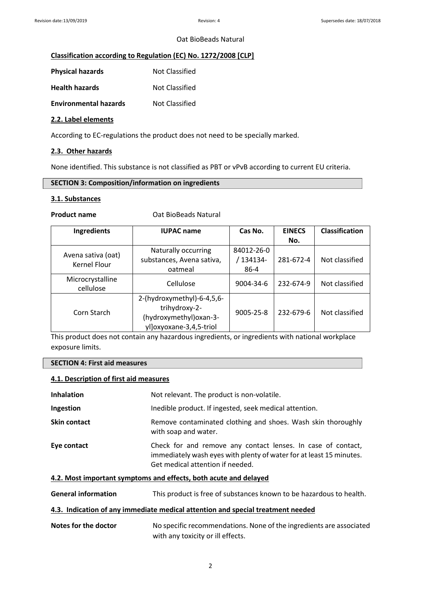## **Classification according to Regulation (EC) No. 1272/2008 [CLP]**

| <b>Physical hazards</b>      | Not Classified        |
|------------------------------|-----------------------|
| <b>Health hazards</b>        | Not Classified        |
| <b>Environmental hazards</b> | <b>Not Classified</b> |

## **2.2. Label elements**

According to EC-regulations the product does not need to be specially marked.

## **2.3. Other hazards**

None identified. This substance is not classified as PBT or vPvB according to current EU criteria.

## **SECTION 3: Composition/information on ingredients**

## **3.1. Substances**

**Product name** Oat BioBeads Natural

| Ingredients                               | <b>IUPAC name</b>          | Cas No.    | <b>EINECS</b> | <b>Classification</b> |
|-------------------------------------------|----------------------------|------------|---------------|-----------------------|
|                                           |                            |            | No.           |                       |
|                                           | Naturally occurring        | 84012-26-0 |               |                       |
| Avena sativa (oat)<br><b>Kernel Flour</b> | substances, Avena sativa,  | / 134134-  | 281-672-4     | Not classified        |
|                                           | oatmeal                    | 86-4       |               |                       |
| Microcrystalline<br>cellulose             | Cellulose                  | 9004-34-6  | 232-674-9     | Not classified        |
|                                           | 2-(hydroxymethyl)-6-4,5,6- |            |               |                       |
| Corn Starch                               | trihydroxy-2-              | 9005-25-8  | 232-679-6     | Not classified        |
|                                           | (hydroxymethyl) oxan-3-    |            |               |                       |
|                                           | ylloxyoxane-3,4,5-triol    |            |               |                       |

This product does not contain any hazardous ingredients, or ingredients with national workplace exposure limits.

#### **SECTION 4: First aid measures**

#### **4.1. Description of first aid measures**

| 4.2. Most important symptoms and effects, both acute and delayed |                                                                                                                                                                         |
|------------------------------------------------------------------|-------------------------------------------------------------------------------------------------------------------------------------------------------------------------|
| Eye contact                                                      | Check for and remove any contact lenses. In case of contact,<br>immediately wash eyes with plenty of water for at least 15 minutes.<br>Get medical attention if needed. |
| <b>Skin contact</b>                                              | Remove contaminated clothing and shoes. Wash skin thoroughly<br>with soap and water.                                                                                    |
| Ingestion                                                        | Inedible product. If ingested, seek medical attention.                                                                                                                  |
| <b>Inhalation</b>                                                | Not relevant. The product is non-volatile.                                                                                                                              |
|                                                                  |                                                                                                                                                                         |

**General information** This product is free of substances known to be hazardous to health.

### **4.3. Indication of any immediate medical attention and special treatment needed**

Notes for the doctor No specific recommendations. None of the ingredients are associated with any toxicity or ill effects.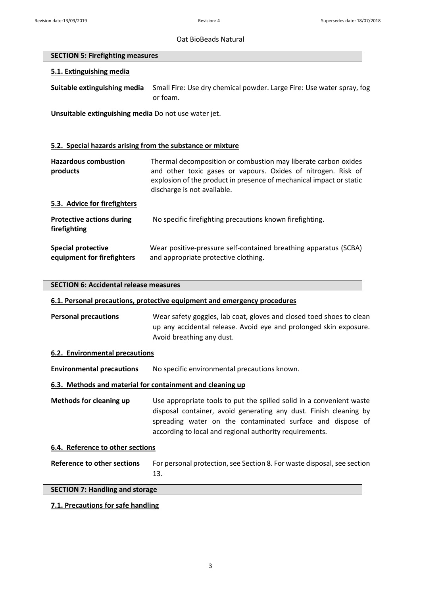### **SECTION 5: Firefighting measures**

## **5.1. Extinguishing media**

**Suitable extinguishing media** Small Fire: Use dry chemical powder. Large Fire: Use water spray, fog or foam.

**Unsuitable extinguishing media** Do not use water jet.

## **5.2. Special hazards arising from the substance or mixture**

| <b>Hazardous combustion</b><br>products                 | Thermal decomposition or combustion may liberate carbon oxides<br>and other toxic gases or vapours. Oxides of nitrogen. Risk of<br>explosion of the product in presence of mechanical impact or static<br>discharge is not available. |
|---------------------------------------------------------|---------------------------------------------------------------------------------------------------------------------------------------------------------------------------------------------------------------------------------------|
| 5.3. Advice for firefighters                            |                                                                                                                                                                                                                                       |
| <b>Protective actions during</b><br>firefighting        | No specific firefighting precautions known firefighting.                                                                                                                                                                              |
| <b>Special protective</b><br>equipment for firefighters | Wear positive-pressure self-contained breathing apparatus (SCBA)<br>and appropriate protective clothing.                                                                                                                              |

#### **SECTION 6: Accidental release measures**

## **6.1. Personal precautions, protective equipment and emergency procedures**

**Personal precautions** Wear safety goggles, lab coat, gloves and closed toed shoes to clean up any accidental release. Avoid eye and prolonged skin exposure. Avoid breathing any dust.

#### **6.2. Environmental precautions**

**Environmental precautions** No specific environmental precautions known.

### **6.3. Methods and material for containment and cleaning up**

**Methods for cleaning up** Use appropriate tools to put the spilled solid in a convenient waste disposal container, avoid generating any dust. Finish cleaning by spreading water on the contaminated surface and dispose of according to local and regional authority requirements.

#### **6.4. Reference to other sections**

**Reference to other sections** For personal protection, see Section 8. For waste disposal, see section 13.

#### **SECTION 7: Handling and storage**

## **7.1. Precautions for safe handling**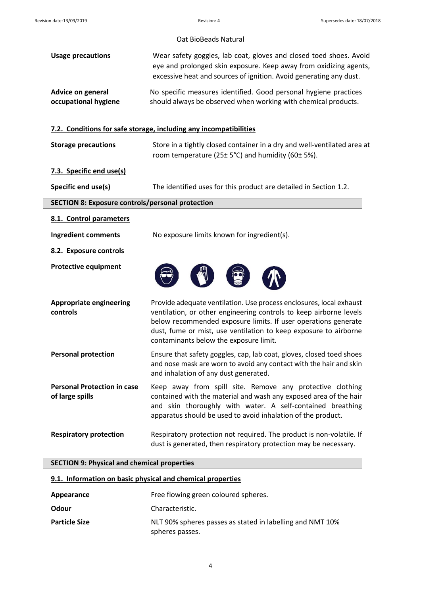|                                                         | Oat BioBeads Natural                                                                                                                                                                                                                                                                                                      |
|---------------------------------------------------------|---------------------------------------------------------------------------------------------------------------------------------------------------------------------------------------------------------------------------------------------------------------------------------------------------------------------------|
| <b>Usage precautions</b>                                | Wear safety goggles, lab coat, gloves and closed toed shoes. Avoid<br>eye and prolonged skin exposure. Keep away from oxidizing agents,<br>excessive heat and sources of ignition. Avoid generating any dust.                                                                                                             |
| <b>Advice on general</b><br>occupational hygiene        | No specific measures identified. Good personal hygiene practices<br>should always be observed when working with chemical products.                                                                                                                                                                                        |
|                                                         | 7.2. Conditions for safe storage, including any incompatibilities                                                                                                                                                                                                                                                         |
| <b>Storage precautions</b>                              | Store in a tightly closed container in a dry and well-ventilated area at<br>room temperature (25± 5°C) and humidity (60± 5%).                                                                                                                                                                                             |
| 7.3. Specific end use(s)                                |                                                                                                                                                                                                                                                                                                                           |
| Specific end use(s)                                     | The identified uses for this product are detailed in Section 1.2.                                                                                                                                                                                                                                                         |
| <b>SECTION 8: Exposure controls/personal protection</b> |                                                                                                                                                                                                                                                                                                                           |
| 8.1. Control parameters                                 |                                                                                                                                                                                                                                                                                                                           |
| <b>Ingredient comments</b>                              | No exposure limits known for ingredient(s).                                                                                                                                                                                                                                                                               |
| 8.2. Exposure controls                                  |                                                                                                                                                                                                                                                                                                                           |
| <b>Protective equipment</b>                             |                                                                                                                                                                                                                                                                                                                           |
| <b>Appropriate engineering</b><br>controls              | Provide adequate ventilation. Use process enclosures, local exhaust<br>ventilation, or other engineering controls to keep airborne levels<br>below recommended exposure limits. If user operations generate<br>dust, fume or mist, use ventilation to keep exposure to airborne<br>contaminants below the exposure limit. |
| <b>Personal protection</b>                              | Ensure that safety goggles, cap, lab coat, gloves, closed toed shoes<br>and nose mask are worn to avoid any contact with the hair and skin<br>and inhalation of any dust generated.                                                                                                                                       |
| <b>Personal Protection in case</b><br>of large spills   | Keep away from spill site. Remove any protective clothing<br>contained with the material and wash any exposed area of the hair<br>and skin thoroughly with water. A self-contained breathing<br>apparatus should be used to avoid inhalation of the product.                                                              |
| <b>Respiratory protection</b>                           | Respiratory protection not required. The product is non-volatile. If<br>dust is generated, then respiratory protection may be necessary.                                                                                                                                                                                  |
| <b>SECTION 9: Physical and chemical properties</b>      |                                                                                                                                                                                                                                                                                                                           |

| 9.1. Information on basic physical and chemical properties |  |
|------------------------------------------------------------|--|
|------------------------------------------------------------|--|

| Appearance           | Free flowing green coloured spheres.                                         |
|----------------------|------------------------------------------------------------------------------|
| Odour                | Characteristic.                                                              |
| <b>Particle Size</b> | NLT 90% spheres passes as stated in labelling and NMT 10%<br>spheres passes. |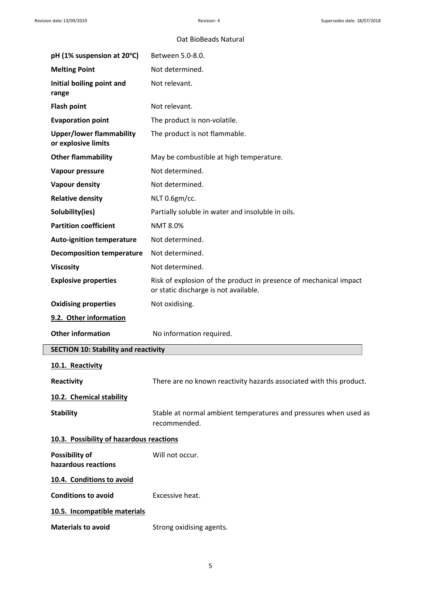| pH (1% suspension at 20°C)                             | Between 5.0-8.0.                                                                                           |
|--------------------------------------------------------|------------------------------------------------------------------------------------------------------------|
| <b>Melting Point</b>                                   | Not determined.                                                                                            |
| Initial boiling point and<br>range                     | Not relevant.                                                                                              |
| <b>Flash point</b>                                     | Not relevant.                                                                                              |
| <b>Evaporation point</b>                               | The product is non-volatile.                                                                               |
| <b>Upper/lower flammability</b><br>or explosive limits | The product is not flammable.                                                                              |
| <b>Other flammability</b>                              | May be combustible at high temperature.                                                                    |
| Vapour pressure                                        | Not determined.                                                                                            |
| <b>Vapour density</b>                                  | Not determined.                                                                                            |
| <b>Relative density</b>                                | NLT 0.6gm/cc.                                                                                              |
| Solubility(ies)                                        | Partially soluble in water and insoluble in oils.                                                          |
| <b>Partition coefficient</b>                           | <b>NMT 8.0%</b>                                                                                            |
| <b>Auto-ignition temperature</b>                       | Not determined.                                                                                            |
| <b>Decomposition temperature</b>                       | Not determined.                                                                                            |
| <b>Viscosity</b>                                       | Not determined.                                                                                            |
| <b>Explosive properties</b>                            | Risk of explosion of the product in presence of mechanical impact<br>or static discharge is not available. |
| <b>Oxidising properties</b>                            | Not oxidising.                                                                                             |
| 9.2. Other information                                 |                                                                                                            |
| <b>Other information</b>                               | No information required.                                                                                   |
| <b>SECTION 10: Stability and reactivity</b>            |                                                                                                            |
| 10.1. Reactivity                                       |                                                                                                            |
| Reactivity                                             | There are no known reactivity hazards associated with this product.                                        |
| 10.2. Chemical stability                               |                                                                                                            |
| <b>Stability</b>                                       | Stable at normal ambient temperatures and pressures when used as<br>recommended.                           |
| 10.3. Possibility of hazardous reactions               |                                                                                                            |
| Possibility of<br>hazardous reactions                  | Will not occur.                                                                                            |
| 10.4. Conditions to avoid                              |                                                                                                            |
| <b>Conditions to avoid</b>                             | Excessive heat.                                                                                            |
| 10.5. Incompatible materials                           |                                                                                                            |
| <b>Materials to avoid</b>                              |                                                                                                            |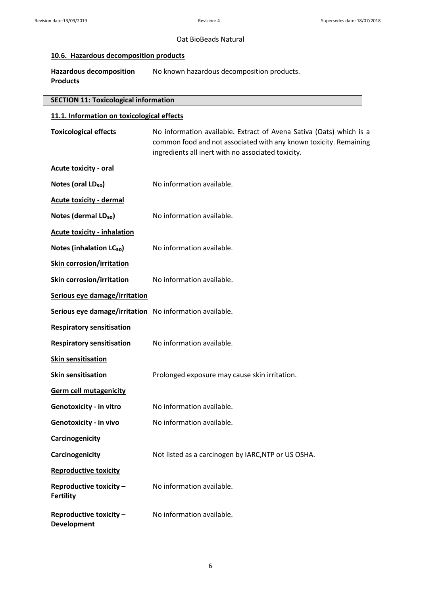#### **10.6. Hazardous decomposition products**

Hazardous decomposition No known hazardous decomposition products. **Products**

#### **SECTION 11: Toxicological information**

## **11.1. Information on toxicological effects**

| Toxicological effects | No information available. Extract of Avena Sativa (Oats) which is a |
|-----------------------|---------------------------------------------------------------------|
|                       | common food and not associated with any known toxicity. Remaining   |
|                       | ingredients all inert with no associated toxicity.                  |

- **Acute toxicity - oral**
- **Notes (oral LD**<sub>50</sub>) No information available.
- **Acute toxicity - dermal**
- **Notes (dermal LD<sub>50</sub>)** No information available.
- **Acute toxicity - inhalation**
- **Notes (inhalation LC<sub>50</sub>)** No information available.
- **Skin corrosion/irritation**
- **Skin corrosion/irritation** No information available.
- **Serious eye damage/irritation**
- **Serious eye damage/irritation** No information available.
- **Respiratory sensitisation**
- **Respiratory sensitisation** No information available.
- **Skin sensitisation**
- **Skin sensitisation** Prolonged exposure may cause skin irritation.
- **Germ cell mutagenicity**
- **Genotoxicity in vitro No information available.**
- **Genotoxicity in vivo** No information available.
- **Carcinogenicity**
- **Carcinogenicity** Not listed as a carcinogen by IARC,NTP or US OSHA.
- **Reproductive toxicity**
- **Reproductive toxicity No information available. Fertility**
- **Reproductive toxicity No information available.**
- **Development**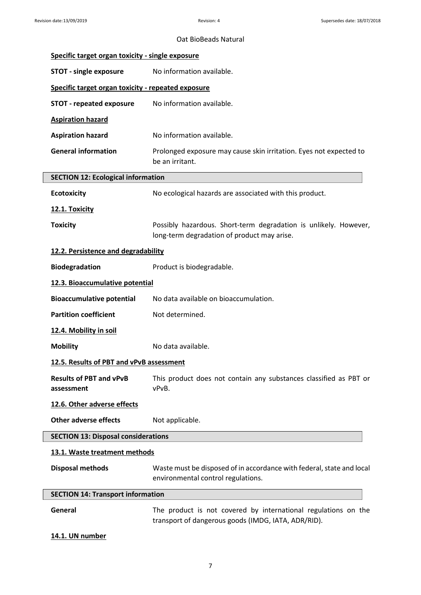| Specific target organ toxicity - single exposure   |                                                                                                                       |
|----------------------------------------------------|-----------------------------------------------------------------------------------------------------------------------|
| <b>STOT - single exposure</b>                      | No information available.                                                                                             |
| Specific target organ toxicity - repeated exposure |                                                                                                                       |
| <b>STOT - repeated exposure</b>                    | No information available.                                                                                             |
| <b>Aspiration hazard</b>                           |                                                                                                                       |
| <b>Aspiration hazard</b>                           | No information available.                                                                                             |
| <b>General information</b>                         | Prolonged exposure may cause skin irritation. Eyes not expected to<br>be an irritant.                                 |
| <b>SECTION 12: Ecological information</b>          |                                                                                                                       |
| <b>Ecotoxicity</b>                                 | No ecological hazards are associated with this product.                                                               |
| 12.1. Toxicity                                     |                                                                                                                       |
| <b>Toxicity</b>                                    | Possibly hazardous. Short-term degradation is unlikely. However,<br>long-term degradation of product may arise.       |
| 12.2. Persistence and degradability                |                                                                                                                       |
| <b>Biodegradation</b>                              | Product is biodegradable.                                                                                             |
| 12.3. Bioaccumulative potential                    |                                                                                                                       |
| <b>Bioaccumulative potential</b>                   | No data available on bioaccumulation.                                                                                 |
| <b>Partition coefficient</b>                       | Not determined.                                                                                                       |
| 12.4. Mobility in soil                             |                                                                                                                       |
| <b>Mobility</b>                                    | No data available.                                                                                                    |
| 12.5. Results of PBT and vPvB assessment           |                                                                                                                       |
| <b>Results of PBT and vPvB</b><br>assessment       | This product does not contain any substances classified as PBT or<br>vPvB.                                            |
| 12.6. Other adverse effects                        |                                                                                                                       |
| <b>Other adverse effects</b>                       | Not applicable.                                                                                                       |
| <b>SECTION 13: Disposal considerations</b>         |                                                                                                                       |
| 13.1. Waste treatment methods                      |                                                                                                                       |
| <b>Disposal methods</b>                            | Waste must be disposed of in accordance with federal, state and local<br>environmental control regulations.           |
| <b>SECTION 14: Transport information</b>           |                                                                                                                       |
| General                                            | The product is not covered by international regulations on the<br>transport of dangerous goods (IMDG, IATA, ADR/RID). |
| 14.1. UN number                                    |                                                                                                                       |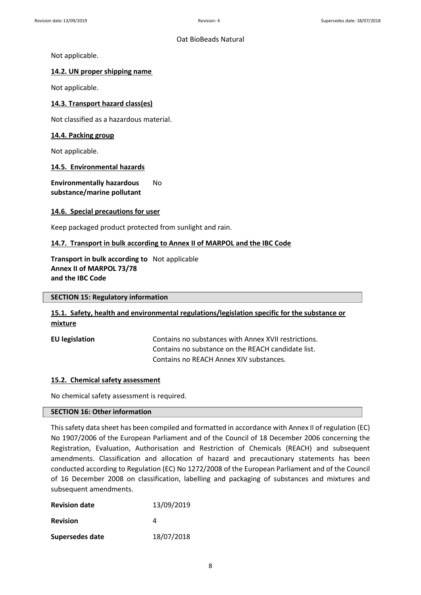Not applicable.

## **14.2. UN proper shipping name**

Not applicable.

## **14.3. Transport hazard class(es)**

Not classified as a hazardous material.

## **14.4. Packing group**

Not applicable.

#### **14.5. Environmental hazards**

**Environmentally hazardous** No **substance/marine pollutant**

#### **14.6. Special precautions for user**

Keep packaged product protected from sunlight and rain.

## **14.7. Transport in bulk according to Annex II of MARPOL and the IBC Code**

## **Transport in bulk according to** Not applicable **Annex II of MARPOL 73/78 and the IBC Code**

#### **SECTION 15: Regulatory information**

## **15.1. Safety, health and environmental regulations/legislation specific for the substance or mixture**

**EU legislation** Contains no substances with Annex XVII restrictions. Contains no substance on the REACH candidate list. Contains no REACH Annex XIV substances.

#### **15.2. Chemical safety assessment**

No chemical safety assessment is required.

### **SECTION 16: Other information**

This safety data sheet has been compiled and formatted in accordance with Annex II of regulation (EC) No 1907/2006 of the European Parliament and of the Council of 18 December 2006 concerning the Registration, Evaluation, Authorisation and Restriction of Chemicals (REACH) and subsequent amendments. Classification and allocation of hazard and precautionary statements has been conducted according to Regulation (EC) No 1272/2008 of the European Parliament and of the Council of 16 December 2008 on classification, labelling and packaging of substances and mixtures and subsequent amendments.

| <b>Revision date</b> | 13/09/2019 |
|----------------------|------------|
| <b>Revision</b>      | Δ          |
| Supersedes date      | 18/07/2018 |